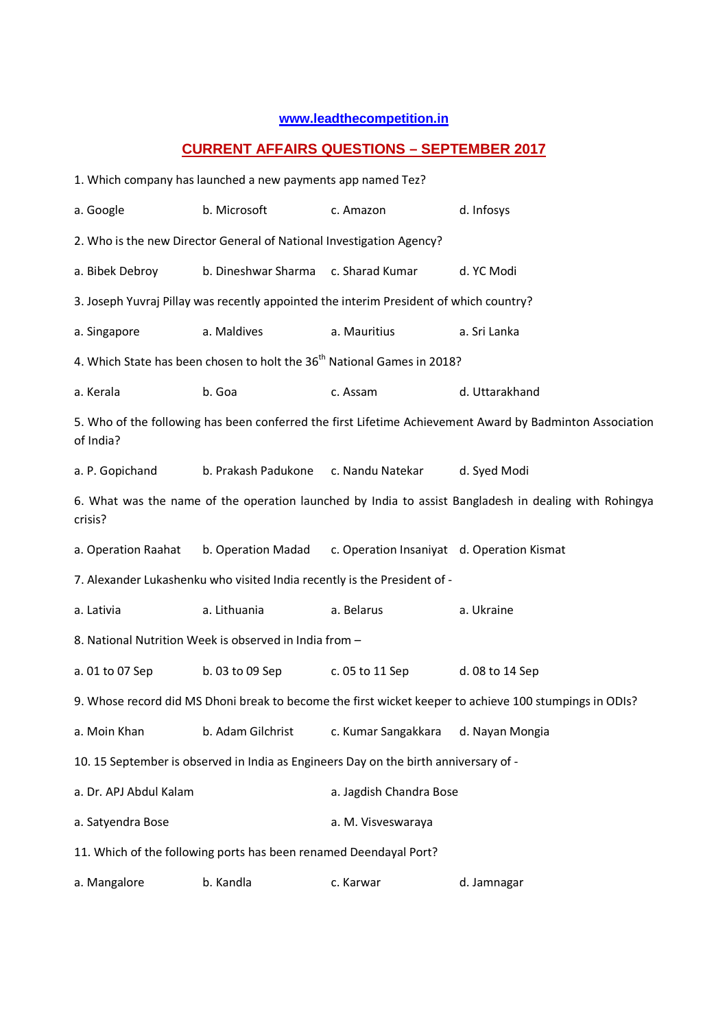## **www.leadthecompetition.in**

## **CURRENT AFFAIRS QUESTIONS – SEPTEMBER 2017**

|                                                                                                                  | 1. Which company has launched a new payments app named Tez?          |                                                                                        |                                                                                                          |  |  |
|------------------------------------------------------------------------------------------------------------------|----------------------------------------------------------------------|----------------------------------------------------------------------------------------|----------------------------------------------------------------------------------------------------------|--|--|
| a. Google                                                                                                        | b. Microsoft                                                         | c. Amazon                                                                              | d. Infosys                                                                                               |  |  |
|                                                                                                                  | 2. Who is the new Director General of National Investigation Agency? |                                                                                        |                                                                                                          |  |  |
| a. Bibek Debroy                                                                                                  | b. Dineshwar Sharma c. Sharad Kumar                                  |                                                                                        | d. YC Modi                                                                                               |  |  |
|                                                                                                                  |                                                                      | 3. Joseph Yuvraj Pillay was recently appointed the interim President of which country? |                                                                                                          |  |  |
| a. Singapore                                                                                                     | a. Maldives                                                          | a. Mauritius                                                                           | a. Sri Lanka                                                                                             |  |  |
|                                                                                                                  |                                                                      | 4. Which State has been chosen to holt the 36 <sup>th</sup> National Games in 2018?    |                                                                                                          |  |  |
| a. Kerala                                                                                                        | b. Goa                                                               | c. Assam                                                                               | d. Uttarakhand                                                                                           |  |  |
| of India?                                                                                                        |                                                                      |                                                                                        | 5. Who of the following has been conferred the first Lifetime Achievement Award by Badminton Association |  |  |
| a. P. Gopichand                                                                                                  | b. Prakash Padukone c. Nandu Natekar                                 |                                                                                        | d. Syed Modi                                                                                             |  |  |
| 6. What was the name of the operation launched by India to assist Bangladesh in dealing with Rohingya<br>crisis? |                                                                      |                                                                                        |                                                                                                          |  |  |
| a. Operation Raahat                                                                                              | b. Operation Madad                                                   | c. Operation Insaniyat d. Operation Kismat                                             |                                                                                                          |  |  |
| 7. Alexander Lukashenku who visited India recently is the President of -                                         |                                                                      |                                                                                        |                                                                                                          |  |  |
| a. Lativia                                                                                                       | a. Lithuania                                                         | a. Belarus                                                                             | a. Ukraine                                                                                               |  |  |
|                                                                                                                  | 8. National Nutrition Week is observed in India from -               |                                                                                        |                                                                                                          |  |  |
| a. 01 to 07 Sep                                                                                                  | b. 03 to 09 Sep                                                      | c. 05 to 11 Sep                                                                        | d. 08 to 14 Sep                                                                                          |  |  |
|                                                                                                                  |                                                                      |                                                                                        | 9. Whose record did MS Dhoni break to become the first wicket keeper to achieve 100 stumpings in ODIs?   |  |  |
| a. Moin Khan                                                                                                     | b. Adam Gilchrist                                                    | c. Kumar Sangakkara                                                                    | d. Nayan Mongia                                                                                          |  |  |
|                                                                                                                  |                                                                      | 10. 15 September is observed in India as Engineers Day on the birth anniversary of -   |                                                                                                          |  |  |
| a. Dr. APJ Abdul Kalam                                                                                           |                                                                      | a. Jagdish Chandra Bose                                                                |                                                                                                          |  |  |
| a. Satyendra Bose                                                                                                |                                                                      | a. M. Visveswaraya                                                                     |                                                                                                          |  |  |
|                                                                                                                  | 11. Which of the following ports has been renamed Deendayal Port?    |                                                                                        |                                                                                                          |  |  |
| a. Mangalore                                                                                                     | b. Kandla                                                            | c. Karwar                                                                              | d. Jamnagar                                                                                              |  |  |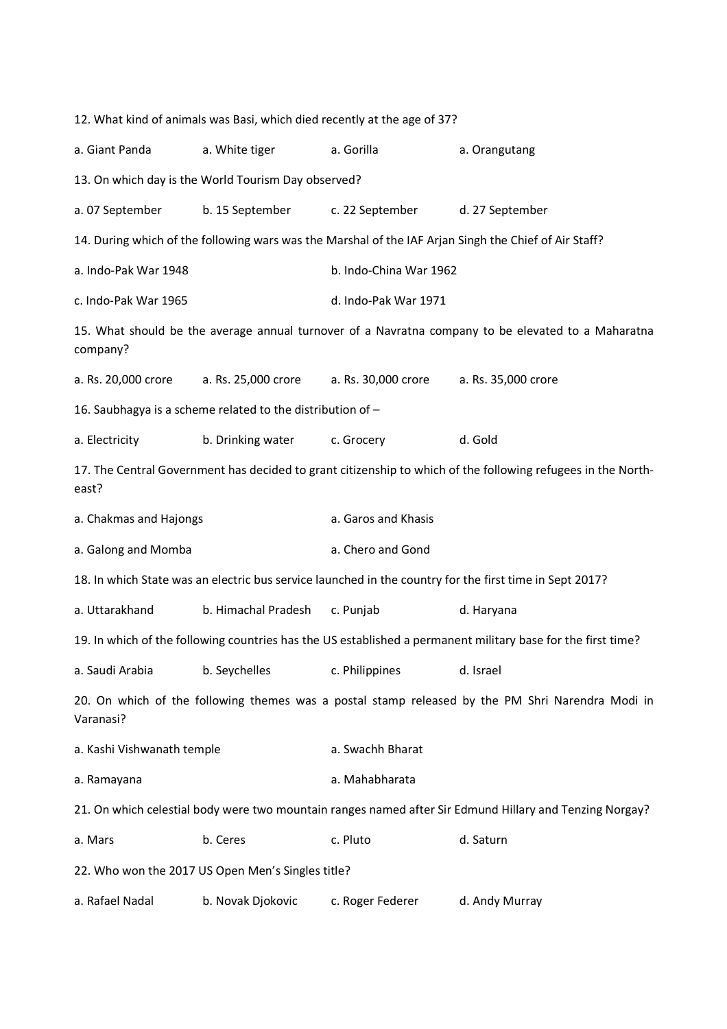12. What kind of animals was Basi, which died recently at the age of 37? a. Giant Panda a. White tiger a. Gorilla a. Orangutang 13. On which day is the World Tourism Day observed? a. 07 September b. 15 September c. 22 September d. 27 September 14. During which of the following wars was the Marshal of the IAF Arjan Singh the Chief of Air Staff? a. Indo-Pak War 1948 b. Indo-China War 1962 c. Indo-Pak War 1965 d. Indo-Pak War 1971 15. What should be the average annual turnover of a Navratna company to be elevated to a Maharatna company? a. Rs. 20,000 crore a. Rs. 25,000 crore a. Rs. 30,000 crore a. Rs. 35,000 crore 16. Saubhagya is a scheme related to the distribution of – a. Electricity b. Drinking water c. Grocery d. Gold 17. The Central Government has decided to grant citizenship to which of the following refugees in the Northeast? a. Chakmas and Hajongs and American control of the Saros and Khasis a. Galong and Momba a. Chero and Gond 18. In which State was an electric bus service launched in the country for the first time in Sept 2017? a. Uttarakhand b. Himachal Pradesh c. Punjab d. Haryana 19. In which of the following countries has the US established a permanent military base for the first time? a. Saudi Arabia b. Seychelles c. Philippines d. Israel 20. On which of the following themes was a postal stamp released by the PM Shri Narendra Modi in Varanasi? a. Kashi Vishwanath temple a. Swachh Bharat a. Ramayana a. Mahabharata 21. On which celestial body were two mountain ranges named after Sir Edmund Hillary and Tenzing Norgay? a. Mars b. Ceres c. Pluto d. Saturn 22. Who won the 2017 US Open Men's Singles title? a. Rafael Nadal b. Novak Djokovic c. Roger Federer d. Andy Murray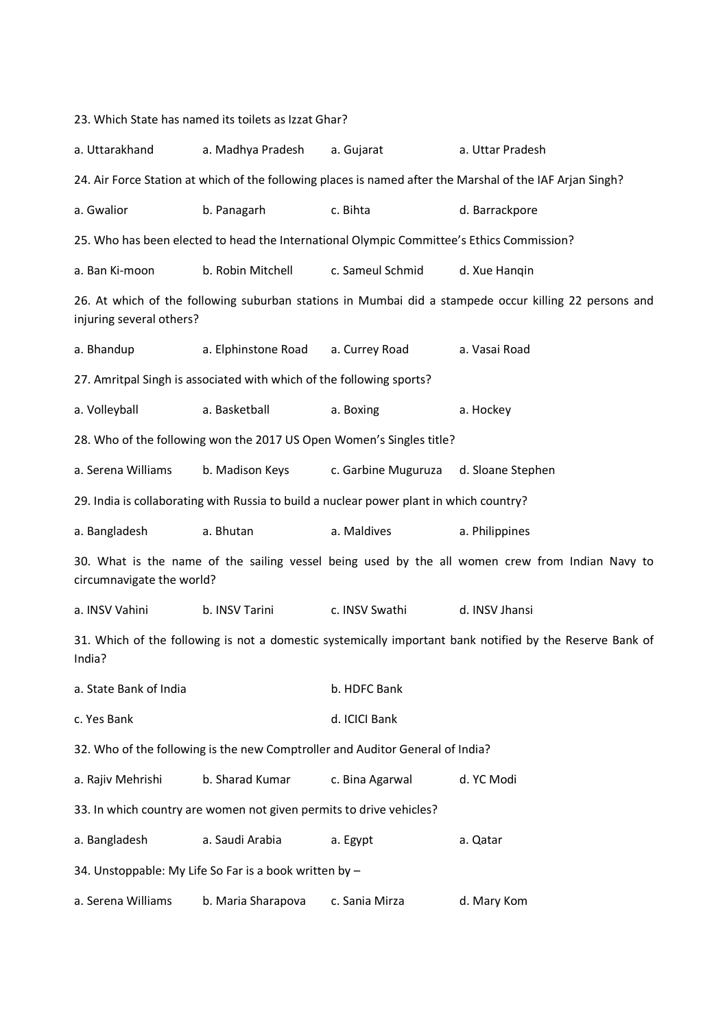23. Which State has named its toilets as Izzat Ghar? a. Uttarakhand a. Madhya Pradesh a. Gujarat a. Uttar Pradesh 24. Air Force Station at which of the following places is named after the Marshal of the IAF Arjan Singh? a. Gwalior b. Panagarh c. Bihta d. Barrackpore 25. Who has been elected to head the International Olympic Committee's Ethics Commission? a. Ban Ki-moon b. Robin Mitchell c. Sameul Schmid d. Xue Hanqin 26. At which of the following suburban stations in Mumbai did a stampede occur killing 22 persons and injuring several others? a. Bhandup a. Elphinstone Road a. Currey Road a. Vasai Road 27. Amritpal Singh is associated with which of the following sports? a. Volleyball a. Basketball a. Boxing a. Hockey 28. Who of the following won the 2017 US Open Women's Singles title? a. Serena Williams b. Madison Keys c. Garbine Muguruza d. Sloane Stephen 29. India is collaborating with Russia to build a nuclear power plant in which country? a. Bangladesh a. Bhutan a. Maldives a. Philippines 30. What is the name of the sailing vessel being used by the all women crew from Indian Navy to circumnavigate the world? a. INSV Vahini b. INSV Tarini c. INSV Swathi d. INSV Jhansi 31. Which of the following is not a domestic systemically important bank notified by the Reserve Bank of India? a. State Bank of India b. HDFC Bank c. Yes Bank d. ICICI Bank 32. Who of the following is the new Comptroller and Auditor General of India? a. Rajiv Mehrishi b. Sharad Kumar c. Bina Agarwal d. YC Modi 33. In which country are women not given permits to drive vehicles? a. Bangladesh a. Saudi Arabia a. Egypt a. Qatar 34. Unstoppable: My Life So Far is a book written by – a. Serena Williams b. Maria Sharapova c. Sania Mirza d. Mary Kom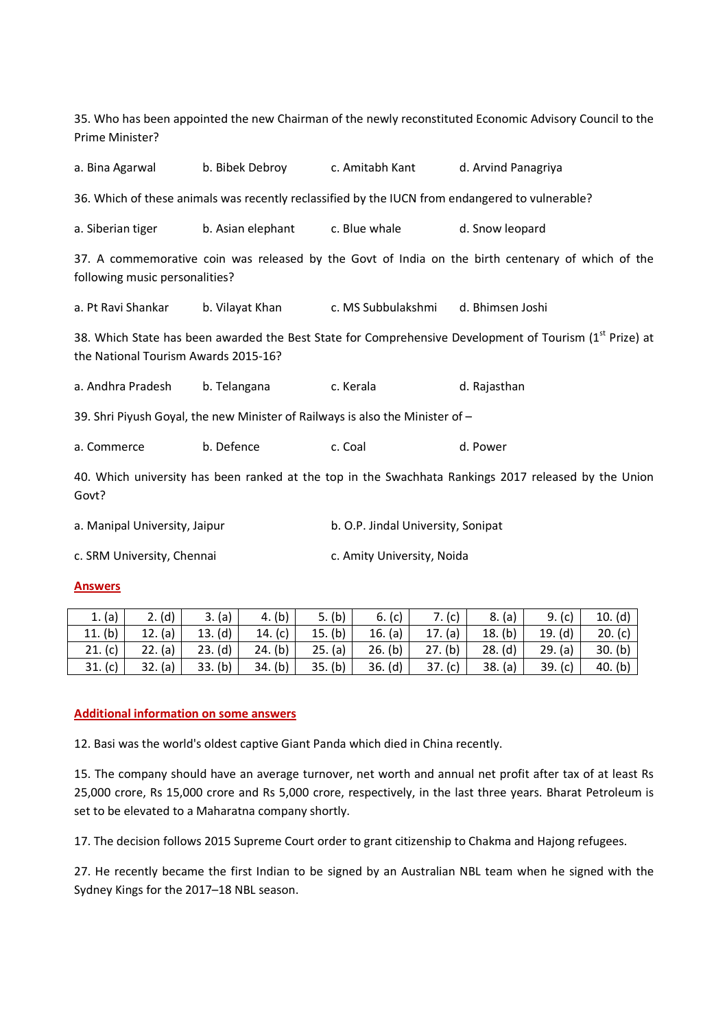| Prime Minister?                                                                                                                                             |                                                                                                 |                                    | 35. Who has been appointed the new Chairman of the newly reconstituted Economic Advisory Council to the |  |  |  |  |
|-------------------------------------------------------------------------------------------------------------------------------------------------------------|-------------------------------------------------------------------------------------------------|------------------------------------|---------------------------------------------------------------------------------------------------------|--|--|--|--|
| a. Bina Agarwal                                                                                                                                             | b. Bibek Debroy c. Amitabh Kant                                                                 |                                    | d. Arvind Panagriya                                                                                     |  |  |  |  |
|                                                                                                                                                             | 36. Which of these animals was recently reclassified by the IUCN from endangered to vulnerable? |                                    |                                                                                                         |  |  |  |  |
| a. Siberian tiger                                                                                                                                           | b. Asian elephant                                                                               | c. Blue whale                      | d. Snow leopard                                                                                         |  |  |  |  |
| 37. A commemorative coin was released by the Govt of India on the birth centenary of which of the<br>following music personalities?                         |                                                                                                 |                                    |                                                                                                         |  |  |  |  |
| a. Pt Ravi Shankar                                                                                                                                          | b. Vilayat Khan c. MS Subbulakshmi                                                              |                                    | d. Bhimsen Joshi                                                                                        |  |  |  |  |
| 38. Which State has been awarded the Best State for Comprehensive Development of Tourism (1 <sup>st</sup> Prize) at<br>the National Tourism Awards 2015-16? |                                                                                                 |                                    |                                                                                                         |  |  |  |  |
| a. Andhra Pradesh                                                                                                                                           | b. Telangana                                                                                    | c. Kerala                          | d. Rajasthan                                                                                            |  |  |  |  |
| 39. Shri Piyush Goyal, the new Minister of Railways is also the Minister of -                                                                               |                                                                                                 |                                    |                                                                                                         |  |  |  |  |
| a. Commerce                                                                                                                                                 | b. Defence                                                                                      | c. Coal                            | d. Power                                                                                                |  |  |  |  |
| Govt?                                                                                                                                                       |                                                                                                 |                                    | 40. Which university has been ranked at the top in the Swachhata Rankings 2017 released by the Union    |  |  |  |  |
| a. Manipal University, Jaipur                                                                                                                               |                                                                                                 | b. O.P. Jindal University, Sonipat |                                                                                                         |  |  |  |  |
| c. SRM University, Chennai                                                                                                                                  |                                                                                                 | c. Amity University, Noida         |                                                                                                         |  |  |  |  |

## **Answers**

| 1. (a)     | 2. (d)     | 3.<br>(a)  | 4. (b)     | 5. (b)     | 6. (c)  | (c)        | (a)<br>8.  | 9.<br>(c)  | 10. (d)   |
|------------|------------|------------|------------|------------|---------|------------|------------|------------|-----------|
| (b)<br>11. | (a)<br>12. | (d)<br>13. | (c)<br>14. | 15. (b)    | 16. (a) | 17. (a)    | (b)<br>18. | (d)<br>19. | 20. (c)   |
| 21. (c)    | (a)<br>22. | (d)<br>23. | 24. (b)    | (a)<br>25. | 26. (b) | (b)<br>27. | (d)<br>28. | 29. (a)    | 30. (b)   |
| 31. (c)    | 32.<br>(a) | (b)<br>33. | 34. (b)    | 35. (b)    | 36. (d) | 37.<br>(c) | (a)<br>38. | 39. (c)    | 40. $(b)$ |

## **Additional information on some answers**

12. Basi was the world's oldest captive Giant Panda which died in China recently.

15. The company should have an average turnover, net worth and annual net profit after tax of at least Rs 25,000 crore, Rs 15,000 crore and Rs 5,000 crore, respectively, in the last three years. Bharat Petroleum is set to be elevated to a Maharatna company shortly.

17. The decision follows 2015 Supreme Court order to grant citizenship to Chakma and Hajong refugees.

27. He recently became the first Indian to be signed by an Australian NBL team when he signed with the Sydney Kings for the 2017–18 NBL season.